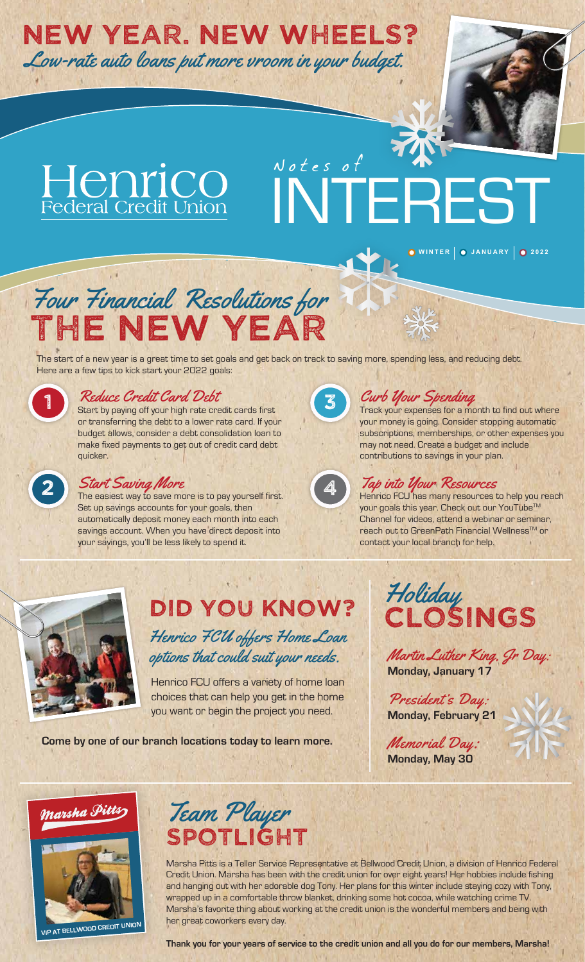# NEW YEAR. NEW WHEELS?

Low-rate auto loans put more vroom in your budget.

# Henrico<br>Federal Credit Union Notes of

# INTEREST

**WINTER JANUARY 2022**

# Four Financial Resolutions for The New Year

The start of a new year is a great time to set goals and get back on track to saving more, spending less, and reducing debt. Here are a few tips to kick start your 2022 goals:

### Reduce Credit Card Debt

Start by paying off your high rate credit cards first or transferring the debt to a lower rate card. If your budget allows, consider a debt consolidation loan to make fixed payments to get out of credit card debt quicker.

### 2 Start Saving More

The easiest way to save more is to pay yourself first. Set up savings accounts for your goals, then automatically deposit money each month into each savings account. When you have direct deposit into your savings, you'll be less likely to spend it.



### Curb Your Spending

Track your expenses for a month to find out where your money is going. Consider stopping automatic subscriptions, memberships, or other expenses you may not need. Create a budget and include contributions to savings in your plan.



**4 Tap into Your Resources**<br>Henrico FCU has many resources to help you reach your goals this year. Check out our YouTube™ Channel for videos, attend a webinar or seminar, reach out to GreenPath Financial Wellness<sup>™</sup> or contact your local branch for help.



### DID YOU KNOW? Henrico FCU offers Home Loan options that could suit your needs.

Henrico FCU offers a variety of home loan choices that can help you get in the home you want or begin the project you need.

**Come by one of our branch locations today to learn more.**



Martin Luther King, Jr Day: **Monday, January 17**

President's Day: **Monday, February 21**

Memorial Day: **Monday, May 30**





Marsha Pitts is a Teller Service Representative at Bellwood Credit Union, a division of Henrico Federal Credit Union. Marsha has been with the credit union for over eight years! Her hobbies include fishing and hanging out with her adorable dog Tony. Her plans for this winter include staying cozy with Tony, wrapped up in a comfortable throw blanket, drinking some hot cocoa, while watching crime TV. Marsha's favorite thing about working at the credit union is the wonderful members and being with her great coworkers every day.

**Thank you for your years of service to the credit union and all you do for our members, Marsha!**